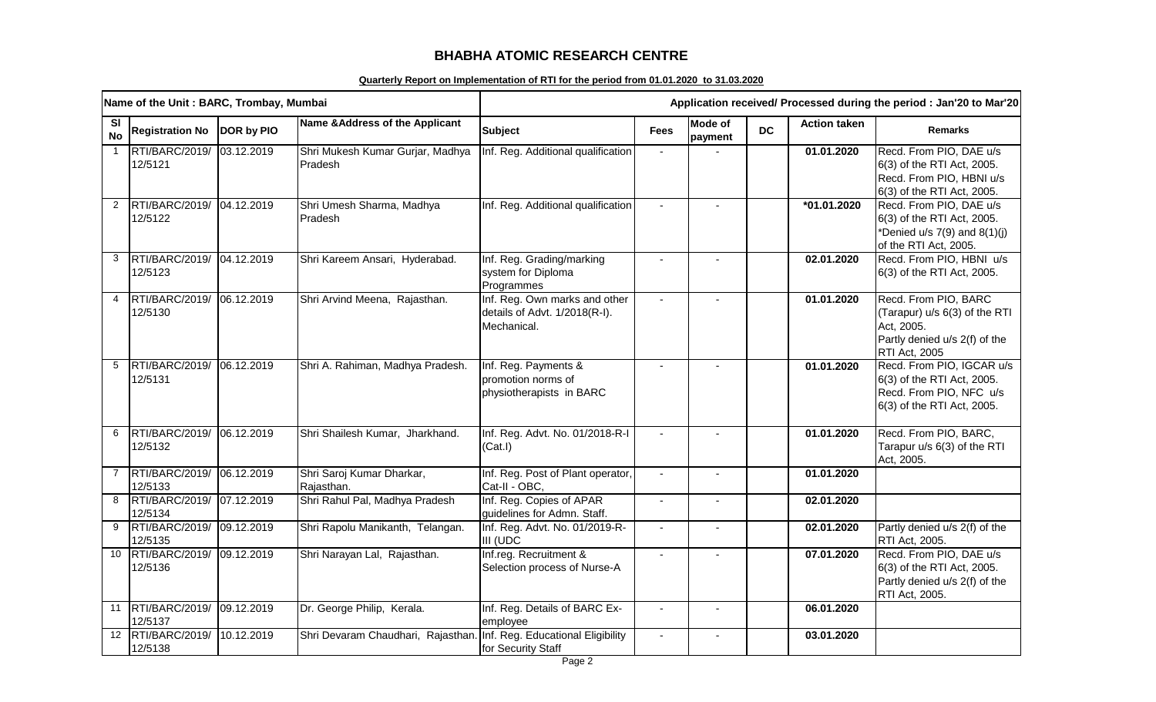## **BHABHA ATOMIC RESEARCH CENTRE**

## **Quarterly Report on Implementation of RTI for the period from 01.01.2020 to 31.03.2020**

|                        | Name of the Unit: BARC, Trombay, Mumbai |            |                                                                      | Application received/ Processed during the period : Jan'20 to Mar'20          |                          |                           |           |                     |                                                                                                                       |
|------------------------|-----------------------------------------|------------|----------------------------------------------------------------------|-------------------------------------------------------------------------------|--------------------------|---------------------------|-----------|---------------------|-----------------------------------------------------------------------------------------------------------------------|
| <b>SI</b><br><b>No</b> | <b>Registration No</b>                  | DOR by PIO | Name & Address of the Applicant                                      | <b>Subject</b>                                                                | <b>Fees</b>              | <b>Mode of</b><br>payment | <b>DC</b> | <b>Action taken</b> | <b>Remarks</b>                                                                                                        |
| $\overline{1}$         | RTI/BARC/2019/<br>12/5121               | 03.12.2019 | Shri Mukesh Kumar Gurjar, Madhya<br>Pradesh                          | Inf. Reg. Additional qualification                                            |                          |                           |           | 01.01.2020          | Recd. From PIO, DAE u/s<br>6(3) of the RTI Act, 2005.<br>Recd. From PIO, HBNI u/s<br>6(3) of the RTI Act, 2005.       |
| 2                      | RTI/BARC/2019/<br>12/5122               | 04.12.2019 | Shri Umesh Sharma, Madhya<br>Pradesh                                 | Inf. Reg. Additional qualification                                            |                          | $\sim$                    |           | *01.01.2020         | Recd. From PIO, DAE u/s<br>6(3) of the RTI Act, 2005.<br>*Denied u/s $7(9)$ and $8(1)(j)$<br>of the RTI Act, 2005.    |
| 3                      | RTI/BARC/2019/<br>12/5123               | 04.12.2019 | Shri Kareem Ansari, Hyderabad.                                       | Inf. Reg. Grading/marking<br>system for Diploma<br>Programmes                 |                          |                           |           | 02.01.2020          | Recd. From PIO, HBNI u/s<br>6(3) of the RTI Act, 2005.                                                                |
| $\overline{4}$         | RTI/BARC/2019/<br>12/5130               | 06.12.2019 | Shri Arvind Meena, Rajasthan.                                        | Inf. Reg. Own marks and other<br>details of Advt. 1/2018(R-I).<br>Mechanical. | $\blacksquare$           | $\blacksquare$            |           | 01.01.2020          | Recd. From PIO, BARC<br>(Tarapur) u/s 6(3) of the RTI<br>Act, 2005.<br>Partly denied u/s 2(f) of the<br>RTI Act, 2005 |
| 5                      | RTI/BARC/2019/<br>12/5131               | 06.12.2019 | Shri A. Rahiman, Madhya Pradesh.                                     | Inf. Reg. Payments &<br>promotion norms of<br>physiotherapists in BARC        |                          |                           |           | 01.01.2020          | Recd. From PIO, IGCAR u/s<br>6(3) of the RTI Act, 2005.<br>Recd. From PIO, NFC u/s<br>6(3) of the RTI Act, 2005.      |
| 6                      | RTI/BARC/2019/ 06.12.2019<br>12/5132    |            | Shri Shailesh Kumar, Jharkhand.                                      | Inf. Reg. Advt. No. 01/2018-R-I<br>(Cat.1)                                    | $\blacksquare$           |                           |           | 01.01.2020          | Recd. From PIO, BARC,<br>Tarapur u/s 6(3) of the RTI<br>Act, 2005.                                                    |
| 7                      | RTI/BARC/2019/ 06.12.2019<br>12/5133    |            | Shri Saroj Kumar Dharkar,<br>Rajasthan.                              | Inf. Reg. Post of Plant operator,<br>Cat-II - OBC,                            | $\blacksquare$           | $\mathbf{r}$              |           | 01.01.2020          |                                                                                                                       |
| 8                      | RTI/BARC/2019/<br>12/5134               | 07.12.2019 | Shri Rahul Pal, Madhya Pradesh                                       | Inf. Reg. Copies of APAR<br>guidelines for Admn. Staff.                       | $\blacksquare$           | $\blacksquare$            |           | 02.01.2020          |                                                                                                                       |
| 9                      | RTI/BARC/2019/ 09.12.2019<br>12/5135    |            | Shri Rapolu Manikanth, Telangan.                                     | Inf. Reg. Advt. No. 01/2019-R-<br>III (UDC                                    |                          |                           |           | 02.01.2020          | Partly denied u/s 2(f) of the<br>RTI Act, 2005.                                                                       |
| 10 <sup>°</sup>        | RTI/BARC/2019/<br>12/5136               | 09.12.2019 | Shri Narayan Lal, Rajasthan.                                         | Inf.reg. Recruitment &<br>Selection process of Nurse-A                        | $\overline{\phantom{a}}$ |                           |           | 07.01.2020          | Recd. From PIO, DAE u/s<br>6(3) of the RTI Act, 2005.<br>Partly denied u/s 2(f) of the<br>RTI Act, 2005.              |
| 11                     | RTI/BARC/2019/<br>12/5137               | 09.12.2019 | Dr. George Philip, Kerala.                                           | Inf. Reg. Details of BARC Ex-<br>employee                                     | $\sim$                   | $\sim$                    |           | 06.01.2020          |                                                                                                                       |
|                        | 12 RTI/BARC/2019/<br>12/5138            | 10.12.2019 | Shri Devaram Chaudhari, Rajasthan. Inf. Reg. Educational Eligibility | for Security Staff                                                            |                          |                           |           | 03.01.2020          |                                                                                                                       |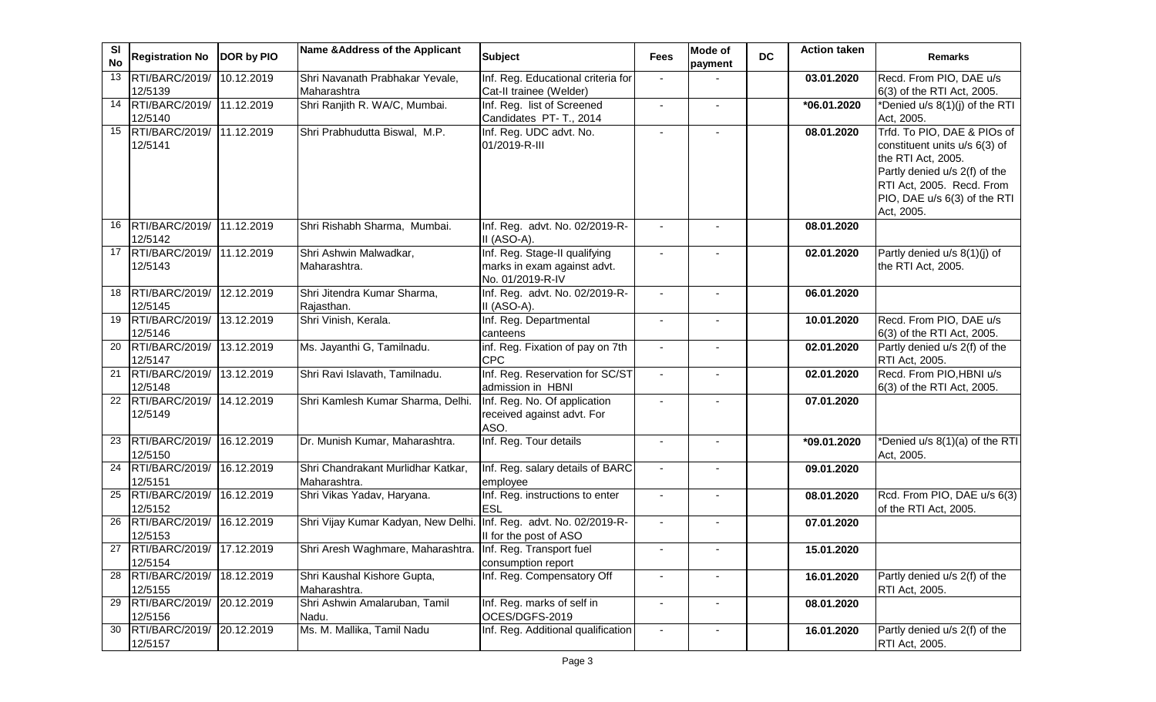| SI<br><b>No</b> | <b>Registration No</b>               | DOR by PIO          | Name & Address of the Applicant                                    | <b>Subject</b>                                                                   | <b>Fees</b>    | Mode of<br>payment | <b>DC</b> | <b>Action taken</b> | <b>Remarks</b>                                                                                                                                                                                 |
|-----------------|--------------------------------------|---------------------|--------------------------------------------------------------------|----------------------------------------------------------------------------------|----------------|--------------------|-----------|---------------------|------------------------------------------------------------------------------------------------------------------------------------------------------------------------------------------------|
| 13              | RTI/BARC/2019/<br>12/5139            | 10.12.2019          | Shri Navanath Prabhakar Yevale,<br>Maharashtra                     | Inf. Reg. Educational criteria for<br>Cat-II trainee (Welder)                    | $\blacksquare$ |                    |           | 03.01.2020          | Recd. From PIO, DAE u/s<br>6(3) of the RTI Act, 2005.                                                                                                                                          |
| 14              | RTI/BARC/2019/ 11.12.2019<br>12/5140 |                     | Shri Ranjith R. WA/C, Mumbai.                                      | Inf. Reg. list of Screened<br>Candidates PT- T., 2014                            | $\blacksquare$ | $\blacksquare$     |           | *06.01.2020         | *Denied u/s 8(1)(j) of the RTI<br>Act, 2005.                                                                                                                                                   |
| 15              | RTI/BARC/2019/<br>12/5141            | 11.12.2019          | Shri Prabhudutta Biswal, M.P.                                      | Inf. Reg. UDC advt. No.<br>01/2019-R-III                                         | $\blacksquare$ |                    |           | 08.01.2020          | Trfd. To PIO, DAE & PIOs of<br>constituent units u/s 6(3) of<br>the RTI Act, 2005.<br>Partly denied u/s 2(f) of the<br>RTI Act, 2005. Recd. From<br>PIO, DAE u/s 6(3) of the RTI<br>Act, 2005. |
| 16              | RTI/BARC/2019/<br>12/5142            | $\sqrt{11.12.2019}$ | Shri Rishabh Sharma, Mumbai.                                       | Inf. Reg. advt. No. 02/2019-R-<br>II (ASO-A).                                    |                |                    |           | 08.01.2020          |                                                                                                                                                                                                |
| 17              | RTI/BARC/2019/ 11.12.2019<br>12/5143 |                     | Shri Ashwin Malwadkar,<br>Maharashtra.                             | Inf. Reg. Stage-II qualifying<br>marks in exam against advt.<br>No. 01/2019-R-IV |                |                    |           | 02.01.2020          | Partly denied u/s 8(1)(j) of<br>the RTI Act, 2005.                                                                                                                                             |
| 18              | RTI/BARC/2019/ 12.12.2019<br>12/5145 |                     | Shri Jitendra Kumar Sharma,<br>Rajasthan.                          | Inf. Reg. advt. No. 02/2019-R-<br>II (ASO-A).                                    |                |                    |           | 06.01.2020          |                                                                                                                                                                                                |
| 19              | RTI/BARC/2019/ 13.12.2019<br>12/5146 |                     | Shri Vinish, Kerala.                                               | Inf. Reg. Departmental<br>canteens                                               | $\blacksquare$ | $\blacksquare$     |           | 10.01.2020          | Recd. From PIO, DAE u/s<br>6(3) of the RTI Act, 2005.                                                                                                                                          |
| 20              | RTI/BARC/2019/ 13.12.2019<br>12/5147 |                     | Ms. Jayanthi G, Tamilnadu.                                         | inf. Reg. Fixation of pay on 7th<br><b>CPC</b>                                   | $\sim$         |                    |           | 02.01.2020          | Partly denied u/s 2(f) of the<br>RTI Act, 2005.                                                                                                                                                |
| $\overline{21}$ | RTI/BARC/2019/ 13.12.2019<br>12/5148 |                     | Shri Ravi Islavath, Tamilnadu.                                     | Inf. Reg. Reservation for SC/ST<br>admission in HBNI                             | $\overline{a}$ |                    |           | 02.01.2020          | Recd. From PIO, HBNI u/s<br>6(3) of the RTI Act, 2005.                                                                                                                                         |
| 22              | RTI/BARC/2019/ 14.12.2019<br>12/5149 |                     | Shri Kamlesh Kumar Sharma, Delhi.                                  | Inf. Reg. No. Of application<br>received against advt. For<br>ASO.               |                |                    |           | 07.01.2020          |                                                                                                                                                                                                |
| 23              | RTI/BARC/2019/<br>12/5150            | 16.12.2019          | Dr. Munish Kumar, Maharashtra.                                     | Inf. Reg. Tour details                                                           | $\blacksquare$ | $\blacksquare$     |           | *09.01.2020         | *Denied u/s 8(1)(a) of the RTI<br>Act, 2005.                                                                                                                                                   |
| 24              | RTI/BARC/2019/<br>12/5151            | 16.12.2019          | Shri Chandrakant Murlidhar Katkar,<br>Maharashtra.                 | Inf. Reg. salary details of BARC<br>employee                                     | $\blacksquare$ |                    |           | 09.01.2020          |                                                                                                                                                                                                |
| 25              | RTI/BARC/2019/<br>12/5152            | 16.12.2019          | Shri Vikas Yadav, Haryana.                                         | Inf. Reg. instructions to enter<br>ESL                                           |                |                    |           | 08.01.2020          | Rcd. From PIO, DAE u/s 6(3)<br>of the RTI Act, 2005.                                                                                                                                           |
| 26              | RTI/BARC/2019/<br>12/5153            | 16.12.2019          | Shri Vijay Kumar Kadyan, New Delhi. Inf. Reg. advt. No. 02/2019-R- | II for the post of ASO                                                           |                |                    |           | 07.01.2020          |                                                                                                                                                                                                |
| 27              | RTI/BARC/2019/ 17.12.2019<br>12/5154 |                     | Shri Aresh Waghmare, Maharashtra. Inf. Reg. Transport fuel         | consumption report                                                               |                |                    |           | 15.01.2020          |                                                                                                                                                                                                |
| 28              | RTI/BARC/2019/<br>12/5155            | 18.12.2019          | Shri Kaushal Kishore Gupta,<br>Maharashtra.                        | Inf. Reg. Compensatory Off                                                       |                |                    |           | 16.01.2020          | Partly denied u/s 2(f) of the<br>RTI Act, 2005.                                                                                                                                                |
| 29              | RTI/BARC/2019/ 20.12.2019<br>12/5156 |                     | Shri Ashwin Amalaruban, Tamil<br>Nadu.                             | Inf. Reg. marks of self in<br>OCES/DGFS-2019                                     |                |                    |           | 08.01.2020          |                                                                                                                                                                                                |
| 30              | RTI/BARC/2019/<br>12/5157            | 20.12.2019          | Ms. M. Mallika, Tamil Nadu                                         | Inf. Reg. Additional qualification                                               | $\blacksquare$ | $\blacksquare$     |           | 16.01.2020          | Partly denied u/s 2(f) of the<br>RTI Act, 2005.                                                                                                                                                |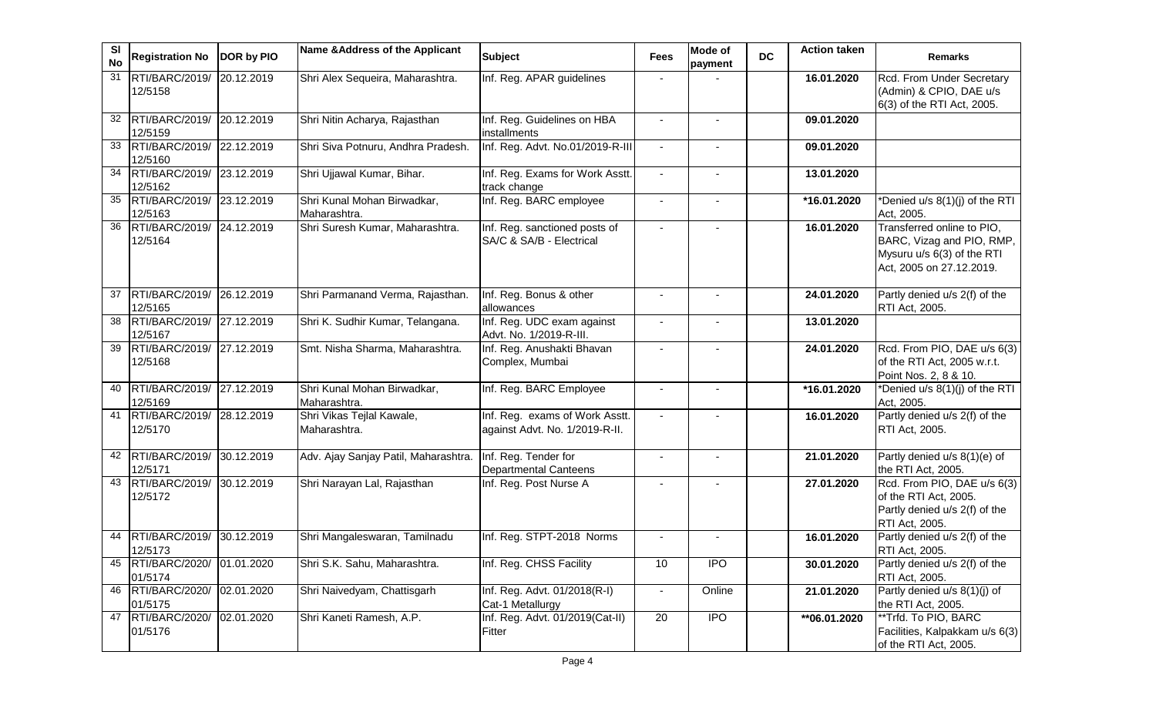| SI<br><b>No</b> | <b>Registration No</b>               | DOR by PIO | Name & Address of the Applicant             | <b>Subject</b>                                                   | <b>Fees</b>              | Mode of<br>payment | <b>DC</b> | <b>Action taken</b>     | <b>Remarks</b>                                                                                                    |
|-----------------|--------------------------------------|------------|---------------------------------------------|------------------------------------------------------------------|--------------------------|--------------------|-----------|-------------------------|-------------------------------------------------------------------------------------------------------------------|
| 31              | RTI/BARC/2019/<br>12/5158            | 20.12.2019 | Shri Alex Sequeira, Maharashtra.            | Inf. Reg. APAR guidelines                                        |                          |                    |           | 16.01.2020              | Rcd. From Under Secretary<br>(Admin) & CPIO, DAE u/s<br>6(3) of the RTI Act, 2005.                                |
| 32              | RTI/BARC/2019/ 20.12.2019<br>12/5159 |            | Shri Nitin Acharya, Rajasthan               | Inf. Reg. Guidelines on HBA<br>installments                      | $\blacksquare$           | $\blacksquare$     |           | 09.01.2020              |                                                                                                                   |
| 33              | RTI/BARC/2019/ 22.12.2019<br>12/5160 |            | Shri Siva Potnuru, Andhra Pradesh.          | Inf. Reg. Advt. No.01/2019-R-III                                 | $\blacksquare$           | $\blacksquare$     |           | 09.01.2020              |                                                                                                                   |
| 34              | RTI/BARC/2019/<br>12/5162            | 23.12.2019 | Shri Ujjawal Kumar, Bihar.                  | Inf. Reg. Exams for Work Asstt.<br>track change                  | $\blacksquare$           | $\blacksquare$     |           | 13.01.2020              |                                                                                                                   |
| 35              | RTI/BARC/2019/<br>12/5163            | 23.12.2019 | Shri Kunal Mohan Birwadkar,<br>Maharashtra. | Inf. Reg. BARC employee                                          | $\blacksquare$           | $\blacksquare$     |           | *16.01.2020             | *Denied u/s 8(1)(j) of the RTI<br>Act, 2005.                                                                      |
| 36              | RTI/BARC/2019/<br>12/5164            | 24.12.2019 | Shri Suresh Kumar, Maharashtra.             | Inf. Reg. sanctioned posts of<br>SA/C & SA/B - Electrical        | $\blacksquare$           |                    |           | 16.01.2020              | Transferred online to PIO,<br>BARC, Vizag and PIO, RMP,<br>Mysuru u/s 6(3) of the RTI<br>Act, 2005 on 27.12.2019. |
| 37              | RTI/BARC/2019/ 26.12.2019<br>12/5165 |            | Shri Parmanand Verma, Rajasthan.            | Inf. Reg. Bonus & other<br>allowances                            |                          |                    |           | 24.01.2020              | Partly denied u/s 2(f) of the<br>RTI Act, 2005.                                                                   |
| 38              | RTI/BARC/2019/ 27.12.2019<br>12/5167 |            | Shri K. Sudhir Kumar, Telangana.            | Inf. Reg. UDC exam against<br>Advt. No. 1/2019-R-III.            |                          |                    |           | 13.01.2020              |                                                                                                                   |
| 39              | RTI/BARC/2019/<br>12/5168            | 27.12.2019 | Smt. Nisha Sharma, Maharashtra.             | Inf. Reg. Anushakti Bhavan<br>Complex, Mumbai                    | $\blacksquare$           |                    |           | 24.01.2020              | Rcd. From PIO, DAE u/s 6(3)<br>of the RTI Act, 2005 w.r.t.<br>Point Nos. 2, 8 & 10.                               |
| 40              | RTI/BARC/2019/ 27.12.2019<br>12/5169 |            | Shri Kunal Mohan Birwadkar,<br>Maharashtra. | Inf. Reg. BARC Employee                                          | $\blacksquare$           | $\blacksquare$     |           | $\overline{16.01.2020}$ | *Denied u/s 8(1)(j) of the RTI<br>Act, 2005.                                                                      |
| 41              | RTI/BARC/2019/ 28.12.2019<br>12/5170 |            | Shri Vikas Tejlal Kawale,<br>Maharashtra.   | Inf. Reg. exams of Work Asstt.<br>against Advt. No. 1/2019-R-II. |                          |                    |           | 16.01.2020              | Partly denied u/s 2(f) of the<br>RTI Act, 2005.                                                                   |
| 42              | RTI/BARC/2019/<br>12/5171            | 30.12.2019 | Adv. Ajay Sanjay Patil, Maharashtra.        | Inf. Reg. Tender for<br><b>Departmental Canteens</b>             | $\blacksquare$           | $\blacksquare$     |           | 21.01.2020              | Partly denied u/s 8(1)(e) of<br>the RTI Act, 2005.                                                                |
| 43              | RTI/BARC/2019/<br>12/5172            | 30.12.2019 | Shri Narayan Lal, Rajasthan                 | Inf. Reg. Post Nurse A                                           | $\overline{\phantom{a}}$ |                    |           | 27.01.2020              | Rcd. From PIO, DAE u/s 6(3)<br>of the RTI Act, 2005.<br>Partly denied u/s 2(f) of the<br>RTI Act, 2005.           |
| 44              | RTI/BARC/2019/<br>12/5173            | 30.12.2019 | Shri Mangaleswaran, Tamilnadu               | Inf. Reg. STPT-2018 Norms                                        |                          |                    |           | 16.01.2020              | Partly denied u/s 2(f) of the<br>RTI Act, 2005.                                                                   |
| 45              | RTI/BARC/2020/ 01.01.2020<br>01/5174 |            | Shri S.K. Sahu, Maharashtra.                | Inf. Reg. CHSS Facility                                          | 10                       | <b>IPO</b>         |           | 30.01.2020              | Partly denied u/s 2(f) of the<br>RTI Act, 2005.                                                                   |
| 46              | RTI/BARC/2020/<br>01/5175            | 02.01.2020 | Shri Naivedyam, Chattisgarh                 | Inf. Reg. Advt. 01/2018(R-I)<br>Cat-1 Metallurgy                 |                          | Online             |           | 21.01.2020              | Partly denied u/s 8(1)(j) of<br>the RTI Act, 2005.                                                                |
| 47              | RTI/BARC/2020/<br>01/5176            | 02.01.2020 | Shri Kaneti Ramesh, A.P.                    | Inf. Reg. Advt. 01/2019(Cat-II)<br>Fitter                        | 20                       | IPO                |           | **06.01.2020            | **Trfd. To PIO, BARC<br>Facilities, Kalpakkam u/s 6(3)<br>of the RTI Act, 2005.                                   |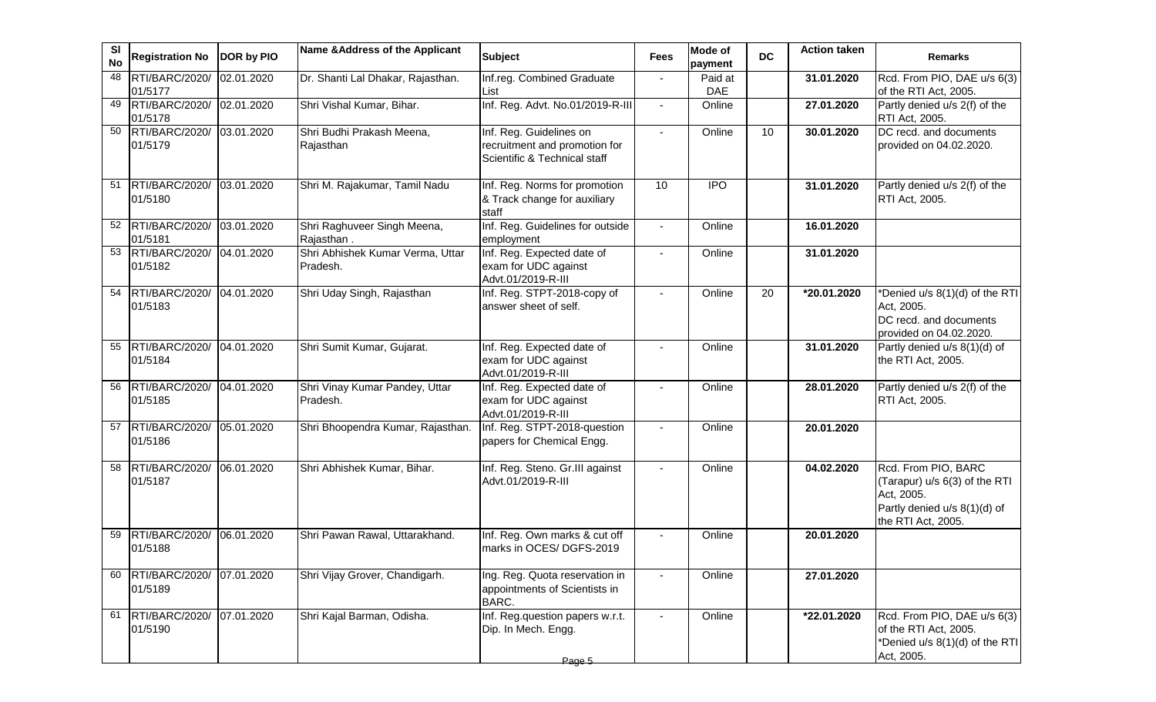| <b>SI</b><br><b>No</b> | <b>Registration No</b>               | DOR by PIO | Name & Address of the Applicant              | <b>Subject</b>                                                                           | Fees           | <b>Mode of</b><br>payment | <b>DC</b>       | <b>Action taken</b> | <b>Remarks</b>                                                                                                           |
|------------------------|--------------------------------------|------------|----------------------------------------------|------------------------------------------------------------------------------------------|----------------|---------------------------|-----------------|---------------------|--------------------------------------------------------------------------------------------------------------------------|
| 48                     | RTI/BARC/2020/<br>01/5177            | 02.01.2020 | Dr. Shanti Lal Dhakar, Rajasthan.            | Inf.reg. Combined Graduate<br>List                                                       |                | Paid at<br><b>DAE</b>     |                 | 31.01.2020          | Rcd. From PIO, DAE u/s 6(3)<br>of the RTI Act, 2005.                                                                     |
| 49                     | RTI/BARC/2020/<br>01/5178            | 02.01.2020 | Shri Vishal Kumar, Bihar.                    | Inf. Reg. Advt. No.01/2019-R-III                                                         | $\blacksquare$ | Online                    |                 | 27.01.2020          | Partly denied u/s 2(f) of the<br>RTI Act, 2005.                                                                          |
| 50                     | RTI/BARC/2020/<br>01/5179            | 03.01.2020 | Shri Budhi Prakash Meena,<br>Rajasthan       | Inf. Reg. Guidelines on<br>recruitment and promotion for<br>Scientific & Technical staff | $\blacksquare$ | Online                    | 10 <sup>°</sup> | 30.01.2020          | DC recd. and documents<br>provided on 04.02.2020.                                                                        |
| 51                     | RTI/BARC/2020/ 03.01.2020<br>01/5180 |            | Shri M. Rajakumar, Tamil Nadu                | Inf. Reg. Norms for promotion<br>& Track change for auxiliary<br>staff                   | 10             | <b>IPO</b>                |                 | 31.01.2020          | Partly denied u/s 2(f) of the<br>RTI Act, 2005.                                                                          |
| 52                     | RTI/BARC/2020/<br>01/5181            | 03.01.2020 | Shri Raghuveer Singh Meena,<br>Rajasthan.    | Inf. Reg. Guidelines for outside<br>employment                                           | $\blacksquare$ | Online                    |                 | 16.01.2020          |                                                                                                                          |
| 53                     | RTI/BARC/2020/<br>01/5182            | 04.01.2020 | Shri Abhishek Kumar Verma, Uttar<br>Pradesh. | Inf. Reg. Expected date of<br>exam for UDC against<br>Advt.01/2019-R-III                 |                | Online                    |                 | 31.01.2020          |                                                                                                                          |
| 54                     | RTI/BARC/2020/<br>01/5183            | 04.01.2020 | Shri Uday Singh, Rajasthan                   | Inf. Reg. STPT-2018-copy of<br>answer sheet of self.                                     | $\blacksquare$ | Online                    | 20              | *20.01.2020         | *Denied u/s 8(1)(d) of the RTI<br>Act, 2005.<br>DC recd. and documents<br>provided on 04.02.2020.                        |
| 55                     | RTI/BARC/2020/<br>01/5184            | 04.01.2020 | Shri Sumit Kumar, Gujarat.                   | Inf. Reg. Expected date of<br>exam for UDC against<br>Advt.01/2019-R-III                 |                | Online                    |                 | 31.01.2020          | Partly denied u/s 8(1)(d) of<br>the RTI Act, 2005.                                                                       |
| 56                     | RTI/BARC/2020/<br>01/5185            | 04.01.2020 | Shri Vinay Kumar Pandey, Uttar<br>Pradesh.   | Inf. Reg. Expected date of<br>exam for UDC against<br>Advt.01/2019-R-III                 |                | Online                    |                 | 28.01.2020          | Partly denied u/s 2(f) of the<br>RTI Act, 2005.                                                                          |
| 57                     | RTI/BARC/2020/<br>01/5186            | 05.01.2020 | Shri Bhoopendra Kumar, Rajasthan.            | Inf. Reg. STPT-2018-question<br>papers for Chemical Engg.                                |                | Online                    |                 | 20.01.2020          |                                                                                                                          |
| 58                     | RTI/BARC/2020/<br>01/5187            | 06.01.2020 | Shri Abhishek Kumar, Bihar.                  | Inf. Reg. Steno. Gr.III against<br>Advt.01/2019-R-III                                    |                | Online                    |                 | 04.02.2020          | Rcd. From PIO, BARC<br>(Tarapur) u/s 6(3) of the RTI<br>Act, 2005.<br>Partly denied u/s 8(1)(d) of<br>the RTI Act, 2005. |
| 59                     | RTI/BARC/2020/<br>01/5188            | 06.01.2020 | Shri Pawan Rawal, Uttarakhand.               | Inf. Reg. Own marks & cut off<br>marks in OCES/ DGFS-2019                                |                | Online                    |                 | 20.01.2020          |                                                                                                                          |
| 60                     | RTI/BARC/2020/<br>01/5189            | 07.01.2020 | Shri Vijay Grover, Chandigarh.               | Ing. Reg. Quota reservation in<br>appointments of Scientists in<br>BARC.                 |                | Online                    |                 | 27.01.2020          |                                                                                                                          |
| 61                     | RTI/BARC/2020/<br>01/5190            | 07.01.2020 | Shri Kajal Barman, Odisha.                   | Inf. Reg.question papers w.r.t.<br>Dip. In Mech. Engg.<br>Page 5                         |                | Online                    |                 | *22.01.2020         | Rcd. From PIO, DAE u/s 6(3)<br>of the RTI Act, 2005.<br>*Denied u/s 8(1)(d) of the RTI<br>Act, 2005.                     |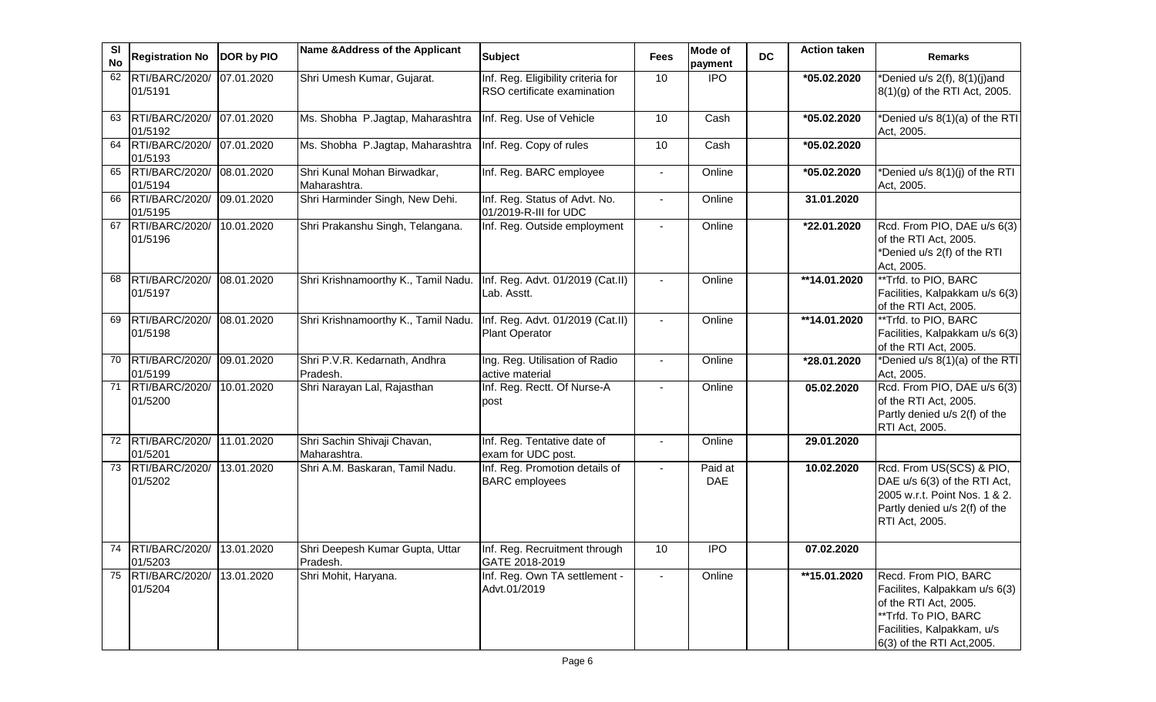| SI<br><b>No</b> | <b>Registration No</b>               | DOR by PIO | Name & Address of the Applicant             | <b>Subject</b>                                                    | <b>Fees</b>    | <b>Mode of</b><br>payment | <b>DC</b> | <b>Action taken</b>     | <b>Remarks</b>                                                                                                                                                     |
|-----------------|--------------------------------------|------------|---------------------------------------------|-------------------------------------------------------------------|----------------|---------------------------|-----------|-------------------------|--------------------------------------------------------------------------------------------------------------------------------------------------------------------|
| 62              | <b>RTI/BARC/2020/</b><br>01/5191     | 07.01.2020 | Shri Umesh Kumar, Gujarat.                  | Inf. Reg. Eligibility criteria for<br>RSO certificate examination | 10             | <b>IPO</b>                |           | *05.02.2020             | *Denied u/s 2(f), 8(1)(j)and<br>8(1)(g) of the RTI Act, 2005.                                                                                                      |
| 63              | RTI/BARC/2020/<br>01/5192            | 07.01.2020 | Ms. Shobha P.Jagtap, Maharashtra            | Inf. Reg. Use of Vehicle                                          | 10             | Cash                      |           | *05.02.2020             | *Denied u/s 8(1)(a) of the RTI<br>Act, 2005.                                                                                                                       |
| 64              | RTI/BARC/2020/<br>01/5193            | 07.01.2020 | Ms. Shobha P.Jagtap, Maharashtra            | Inf. Reg. Copy of rules                                           | 10             | Cash                      |           | *05.02.2020             |                                                                                                                                                                    |
| 65              | RTI/BARC/2020/<br>01/5194            | 08.01.2020 | Shri Kunal Mohan Birwadkar,<br>Maharashtra. | Inf. Reg. BARC employee                                           |                | Online                    |           | *05.02.2020             | *Denied u/s 8(1)(j) of the RTI<br>Act, 2005.                                                                                                                       |
| 66              | RTI/BARC/2020/<br>01/5195            | 09.01.2020 | Shri Harminder Singh, New Dehi.             | Inf. Reg. Status of Advt. No.<br>01/2019-R-III for UDC            | $\blacksquare$ | Online                    |           | 31.01.2020              |                                                                                                                                                                    |
| 67              | RTI/BARC/2020/<br>01/5196            | 10.01.2020 | Shri Prakanshu Singh, Telangana.            | Inf. Reg. Outside employment                                      |                | Online                    |           | *22.01.2020             | Rcd. From PIO, DAE u/s 6(3)<br>of the RTI Act, 2005.<br>*Denied u/s 2(f) of the RTI<br>Act, 2005.                                                                  |
| 68              | RTI/BARC/2020/<br>01/5197            | 08.01.2020 | Shri Krishnamoorthy K., Tamil Nadu.         | Inf. Reg. Advt. 01/2019 (Cat.II)<br>Lab. Asstt.                   |                | Online                    |           | **14.01.2020            | **Trfd. to PIO, BARC<br>Facilities, Kalpakkam u/s 6(3)<br>of the RTI Act, 2005.                                                                                    |
| 69              | RTI/BARC/2020/<br>01/5198            | 08.01.2020 | Shri Krishnamoorthy K., Tamil Nadu.         | Inf. Reg. Advt. 01/2019 (Cat.II)<br><b>Plant Operator</b>         | $\Delta$       | Online                    |           | $\overline{14.01.2020}$ | **Trfd. to PIO, BARC<br>Facilities, Kalpakkam u/s 6(3)<br>of the RTI Act, 2005.                                                                                    |
| 70              | RTI/BARC/2020/<br>01/5199            | 09.01.2020 | Shri P.V.R. Kedarnath, Andhra<br>Pradesh.   | Ing. Reg. Utilisation of Radio<br>active material                 | $\overline{a}$ | Online                    |           | *28.01.2020             | *Denied u/s 8(1)(a) of the RTI<br>Act, 2005.                                                                                                                       |
| 71              | RTI/BARC/2020/<br>01/5200            | 10.01.2020 | Shri Narayan Lal, Rajasthan                 | Inf. Reg. Rectt. Of Nurse-A<br>post                               | $\sim$         | Online                    |           | 05.02.2020              | Rcd. From PIO, DAE u/s 6(3)<br>of the RTI Act, 2005.<br>Partly denied u/s 2(f) of the<br>RTI Act, 2005.                                                            |
| 72              | <b>RTI/BARC/2020/</b><br>01/5201     | 11.01.2020 | Shri Sachin Shivaji Chavan,<br>Maharashtra. | Inf. Reg. Tentative date of<br>exam for UDC post.                 |                | Online                    |           | 29.01.2020              |                                                                                                                                                                    |
| 73              | RTI/BARC/2020/<br>01/5202            | 13.01.2020 | Shri A.M. Baskaran, Tamil Nadu.             | Inf. Reg. Promotion details of<br><b>BARC</b> employees           | $\blacksquare$ | Paid at<br>DAE            |           | 10.02.2020              | Rcd. From US(SCS) & PIO,<br>DAE u/s 6(3) of the RTI Act,<br>2005 w.r.t. Point Nos. 1 & 2.<br>Partly denied u/s 2(f) of the<br><b>RTI Act, 2005.</b>                |
| 74              | RTI/BARC/2020/ 13.01.2020<br>01/5203 |            | Shri Deepesh Kumar Gupta, Uttar<br>Pradesh. | Inf. Reg. Recruitment through<br>GATE 2018-2019                   | 10             | <b>IPO</b>                |           | 07.02.2020              |                                                                                                                                                                    |
| 75              | RTI/BARC/2020/<br>01/5204            | 13.01.2020 | Shri Mohit, Haryana.                        | Inf. Reg. Own TA settlement -<br>Advt.01/2019                     |                | Online                    |           | **15.01.2020            | Recd. From PIO, BARC<br>Facilites, Kalpakkam u/s 6(3)<br>of the RTI Act, 2005.<br>**Trfd. To PIO, BARC<br>Facilities, Kalpakkam, u/s<br>6(3) of the RTI Act, 2005. |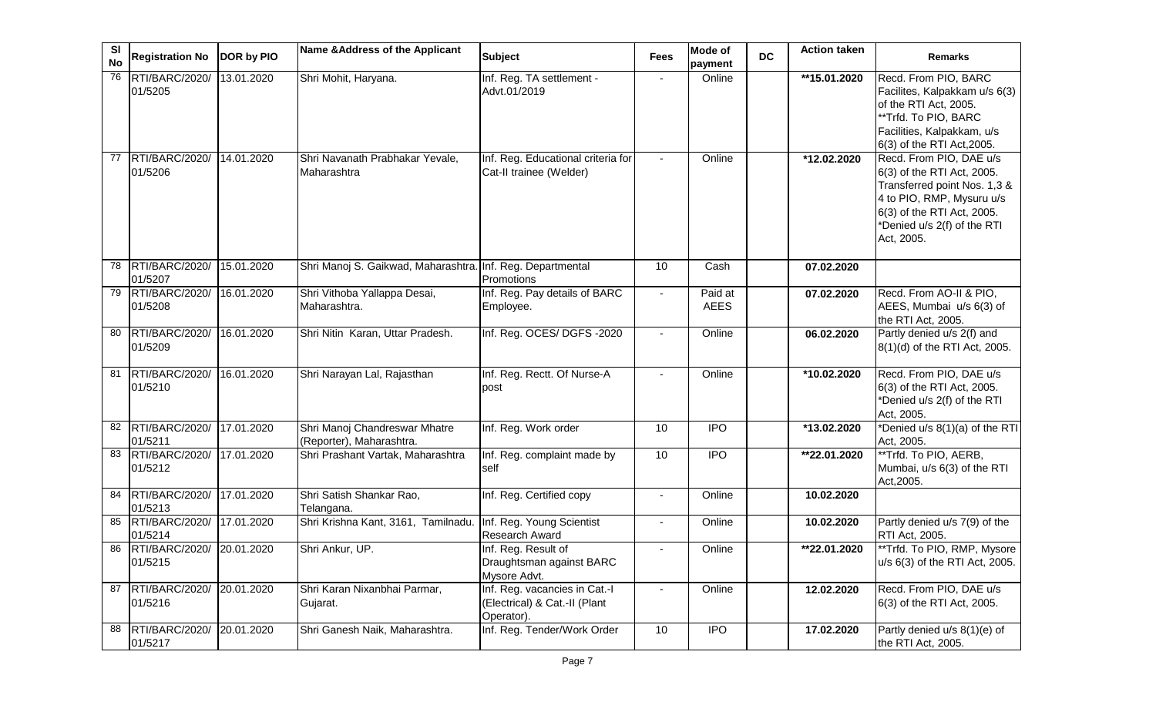| SI<br><b>No</b> | <b>Registration No</b>                  | DOR by PIO | Name & Address of the Applicant                            | <b>Subject</b>                                                               | <b>Fees</b>    | Mode of<br>payment     | <b>DC</b> | <b>Action taken</b> | <b>Remarks</b>                                                                                                                                                                                |
|-----------------|-----------------------------------------|------------|------------------------------------------------------------|------------------------------------------------------------------------------|----------------|------------------------|-----------|---------------------|-----------------------------------------------------------------------------------------------------------------------------------------------------------------------------------------------|
| 76              | RTI/BARC/2020/<br>01/5205               | 13.01.2020 | Shri Mohit, Haryana.                                       | Inf. Reg. TA settlement -<br>Advt.01/2019                                    |                | Online                 |           | **15.01.2020        | Recd. From PIO, BARC<br>Facilites, Kalpakkam u/s 6(3)<br>of the RTI Act, 2005.<br>**Trfd. To PIO, BARC<br>Facilities, Kalpakkam, u/s<br>6(3) of the RTI Act, 2005.                            |
| 77              | RTI/BARC/2020/<br>01/5206               | 14.01.2020 | Shri Navanath Prabhakar Yevale,<br>Maharashtra             | Inf. Reg. Educational criteria for<br>Cat-II trainee (Welder)                |                | Online                 |           | *12.02.2020         | Recd. From PIO, DAE u/s<br>6(3) of the RTI Act, 2005.<br>Transferred point Nos. 1,3 &<br>4 to PIO, RMP, Mysuru u/s<br>6(3) of the RTI Act, 2005.<br>*Denied u/s 2(f) of the RTI<br>Act, 2005. |
| 78              | RTI/BARC/2020/<br>01/5207               | 15.01.2020 | Shri Manoj S. Gaikwad, Maharashtra. Inf. Reg. Departmental | Promotions                                                                   | 10             | Cash                   |           | 07.02.2020          |                                                                                                                                                                                               |
| 79              | RTI/BARC/2020/<br>01/5208               | 16.01.2020 | Shri Vithoba Yallappa Desai,<br>Maharashtra.               | Inf. Reg. Pay details of BARC<br>Employee.                                   | $\blacksquare$ | Paid at<br><b>AEES</b> |           | 07.02.2020          | Recd. From AO-II & PIO,<br>AEES, Mumbai u/s 6(3) of<br>the RTI Act, 2005.                                                                                                                     |
| 80              | RTI/BARC/2020/<br>01/5209               | 16.01.2020 | Shri Nitin Karan, Uttar Pradesh.                           | Inf. Reg. OCES/ DGFS -2020                                                   | $\overline{a}$ | Online                 |           | 06.02.2020          | Partly denied u/s 2(f) and<br>8(1)(d) of the RTI Act, 2005.                                                                                                                                   |
| 81              | RTI/BARC/2020/<br>01/5210               | 16.01.2020 | Shri Narayan Lal, Rajasthan                                | Inf. Reg. Rectt. Of Nurse-A<br>post                                          |                | Online                 |           | *10.02.2020         | Recd. From PIO, DAE u/s<br>6(3) of the RTI Act, 2005.<br>*Denied u/s 2(f) of the RTI<br>Act, 2005.                                                                                            |
| 82              | RTI/BARC/2020/<br>01/5211               | 17.01.2020 | Shri Manoj Chandreswar Mhatre<br>(Reporter), Maharashtra.  | Inf. Reg. Work order                                                         | 10             | <b>IPO</b>             |           | *13.02.2020         | *Denied u/s 8(1)(a) of the RTI<br>Act, 2005.                                                                                                                                                  |
|                 | 83 RTI/BARC/2020/<br>01/5212            | 17.01.2020 | Shri Prashant Vartak, Maharashtra                          | Inf. Reg. complaint made by<br>self                                          | 10             | $\overline{IPO}$       |           | **22.01.2020        | **Trfd. To PIO, AERB,<br>Mumbai, u/s 6(3) of the RTI<br>Act, 2005.                                                                                                                            |
| 84              | RTI/BARC/2020/<br>01/5213               | 17.01.2020 | Shri Satish Shankar Rao,<br>Telangana.                     | Inf. Reg. Certified copy                                                     |                | Online                 |           | 10.02.2020          |                                                                                                                                                                                               |
| 85              | RTI/BARC/2020/<br>01/5214               | 17.01.2020 | Shri Krishna Kant, 3161, Tamilnadu.                        | Inf. Reg. Young Scientist<br><b>Research Award</b>                           |                | Online                 |           | 10.02.2020          | Partly denied u/s 7(9) of the<br>RTI Act, 2005.                                                                                                                                               |
|                 | 86 RTI/BARC/2020/ 20.01.2020<br>01/5215 |            | Shri Ankur, UP.                                            | Inf. Reg. Result of<br>Draughtsman against BARC<br>Mysore Advt.              |                | Online                 |           | **22.01.2020        | **Trfd. To PIO, RMP, Mysore<br>u/s 6(3) of the RTI Act, 2005.                                                                                                                                 |
| 87              | RTI/BARC/2020/<br>01/5216               | 20.01.2020 | Shri Karan Nixanbhai Parmar,<br>Gujarat.                   | Inf. Reg. vacancies in Cat.-I<br>(Electrical) & Cat.-II (Plant<br>Operator). | $\blacksquare$ | Online                 |           | 12.02.2020          | Recd. From PIO, DAE u/s<br>6(3) of the RTI Act, 2005.                                                                                                                                         |
| 88              | RTI/BARC/2020/<br>01/5217               | 20.01.2020 | Shri Ganesh Naik, Maharashtra.                             | Inf. Reg. Tender/Work Order                                                  | 10             | <b>IPO</b>             |           | 17.02.2020          | Partly denied u/s 8(1)(e) of<br>the RTI Act, 2005.                                                                                                                                            |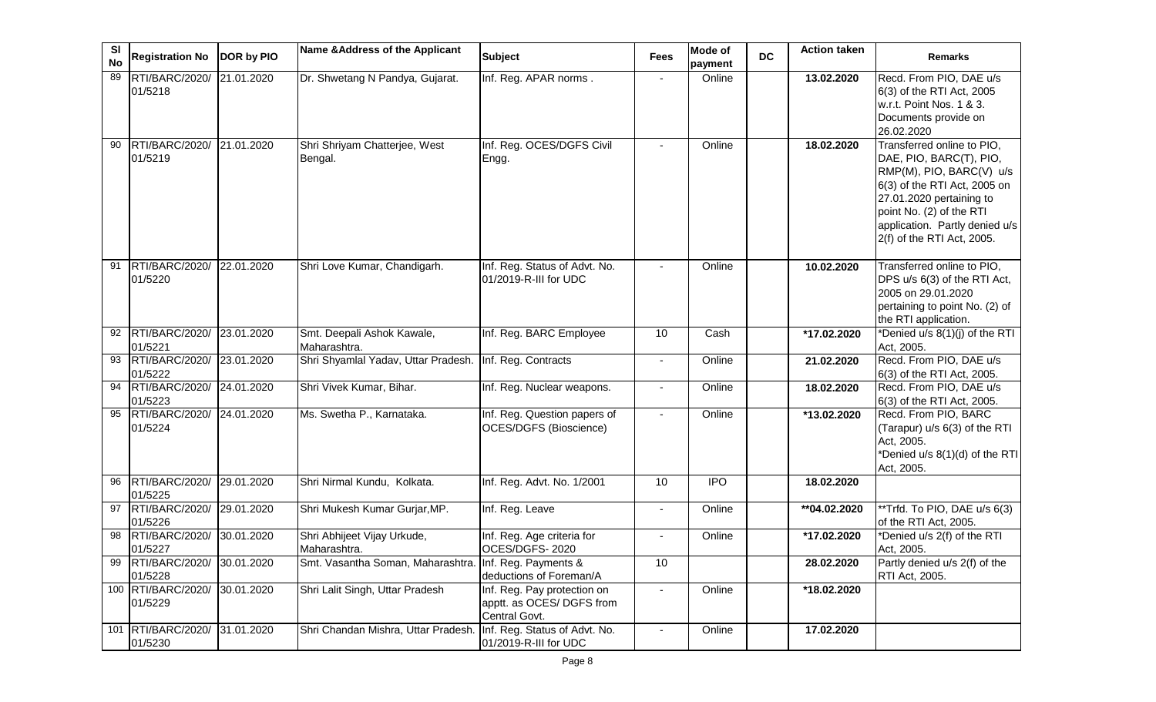| <b>SI</b><br><b>No</b> | <b>Registration No</b>               | DOR by PIO | Name & Address of the Applicant                        | <b>Subject</b>                                                            | <b>Fees</b>    | <b>Mode of</b><br>payment | <b>DC</b> | <b>Action taken</b> | <b>Remarks</b>                                                                                                                                                                                                                            |
|------------------------|--------------------------------------|------------|--------------------------------------------------------|---------------------------------------------------------------------------|----------------|---------------------------|-----------|---------------------|-------------------------------------------------------------------------------------------------------------------------------------------------------------------------------------------------------------------------------------------|
| 89                     | RTI/BARC/2020/<br>01/5218            | 21.01.2020 | Dr. Shwetang N Pandya, Gujarat.                        | Inf. Reg. APAR norms.                                                     |                | Online                    |           | 13.02.2020          | Recd. From PIO, DAE u/s<br>6(3) of the RTI Act, 2005<br>w.r.t. Point Nos. 1 & 3.<br>Documents provide on<br>26.02.2020                                                                                                                    |
| 90                     | RTI/BARC/2020/ 21.01.2020<br>01/5219 |            | Shri Shriyam Chatterjee, West<br>Bengal.               | Inf. Reg. OCES/DGFS Civil<br>Engg.                                        |                | Online                    |           | 18.02.2020          | Transferred online to PIO,<br>DAE, PIO, BARC(T), PIO,<br>RMP(M), PIO, BARC(V) u/s<br>6(3) of the RTI Act, 2005 on<br>27.01.2020 pertaining to<br>point No. (2) of the RTI<br>application. Partly denied u/s<br>2(f) of the RTI Act, 2005. |
| 91                     | RTI/BARC/2020/<br>01/5220            | 22.01.2020 | Shri Love Kumar, Chandigarh.                           | Inf. Reg. Status of Advt. No.<br>01/2019-R-III for UDC                    | $\blacksquare$ | Online                    |           | 10.02.2020          | Transferred online to PIO,<br>DPS u/s 6(3) of the RTI Act,<br>2005 on 29.01.2020<br>pertaining to point No. (2) of<br>the RTI application.                                                                                                |
| 92                     | RTI/BARC/2020/ 23.01.2020<br>01/5221 |            | Smt. Deepali Ashok Kawale,<br>Maharashtra.             | Inf. Reg. BARC Employee                                                   | 10             | Cash                      |           | *17.02.2020         | *Denied u/s 8(1)(j) of the RTI<br>Act, 2005.                                                                                                                                                                                              |
| 93                     | RTI/BARC/2020/ 23.01.2020<br>01/5222 |            | Shri Shyamlal Yadav, Uttar Pradesh.                    | Inf. Reg. Contracts                                                       | $\sim$         | Online                    |           | 21.02.2020          | Recd. From PIO, DAE u/s<br>6(3) of the RTI Act, 2005.                                                                                                                                                                                     |
| 94                     | RTI/BARC/2020/ 24.01.2020<br>01/5223 |            | Shri Vivek Kumar, Bihar.                               | Inf. Reg. Nuclear weapons.                                                | $\blacksquare$ | Online                    |           | 18.02.2020          | Recd. From PIO, DAE u/s<br>6(3) of the RTI Act, 2005.                                                                                                                                                                                     |
| 95                     | RTI/BARC/2020/ 24.01.2020<br>01/5224 |            | Ms. Swetha P., Karnataka.                              | Inf. Reg. Question papers of<br><b>OCES/DGFS (Bioscience)</b>             | $\blacksquare$ | Online                    |           | *13.02.2020         | Recd. From PIO, BARC<br>(Tarapur) u/s 6(3) of the RTI<br>Act, 2005.<br>*Denied u/s 8(1)(d) of the RTI<br>Act, 2005.                                                                                                                       |
| 96                     | RTI/BARC/2020/<br>01/5225            | 29.01.2020 | Shri Nirmal Kundu, Kolkata.                            | Inf. Reg. Advt. No. 1/2001                                                | 10             | $\overline{1}$            |           | 18.02.2020          |                                                                                                                                                                                                                                           |
|                        | 97 RTI/BARC/2020/<br>01/5226         | 29.01.2020 | Shri Mukesh Kumar Gurjar, MP.                          | Inf. Reg. Leave                                                           | $\sim$         | Online                    |           | **04.02.2020        | **Trfd. To PIO, DAE u/s 6(3)<br>of the RTI Act, 2005.                                                                                                                                                                                     |
| 98                     | RTI/BARC/2020/<br>01/5227            | 30.01.2020 | Shri Abhijeet Vijay Urkude,<br>Maharashtra.            | Inf. Reg. Age criteria for<br>OCES/DGFS-2020                              |                | Online                    |           | *17.02.2020         | *Denied u/s 2(f) of the RTI<br>Act, 2005.                                                                                                                                                                                                 |
| 99                     | RTI/BARC/2020/ 30.01.2020<br>01/5228 |            | Smt. Vasantha Soman, Maharashtra. Inf. Reg. Payments & | deductions of Foreman/A                                                   | 10             |                           |           | 28.02.2020          | Partly denied u/s 2(f) of the<br>RTI Act, 2005.                                                                                                                                                                                           |
|                        | 100 RTI/BARC/2020/<br>01/5229        | 30.01.2020 | Shri Lalit Singh, Uttar Pradesh                        | Inf. Reg. Pay protection on<br>apptt. as OCES/ DGFS from<br>Central Govt. | $\blacksquare$ | Online                    |           | *18.02.2020         |                                                                                                                                                                                                                                           |
|                        | 101 RTI/BARC/2020/<br>01/5230        | 31.01.2020 | Shri Chandan Mishra, Uttar Pradesh                     | Inf. Reg. Status of Advt. No.<br>01/2019-R-III for UDC                    | $\sim$         | Online                    |           | 17.02.2020          |                                                                                                                                                                                                                                           |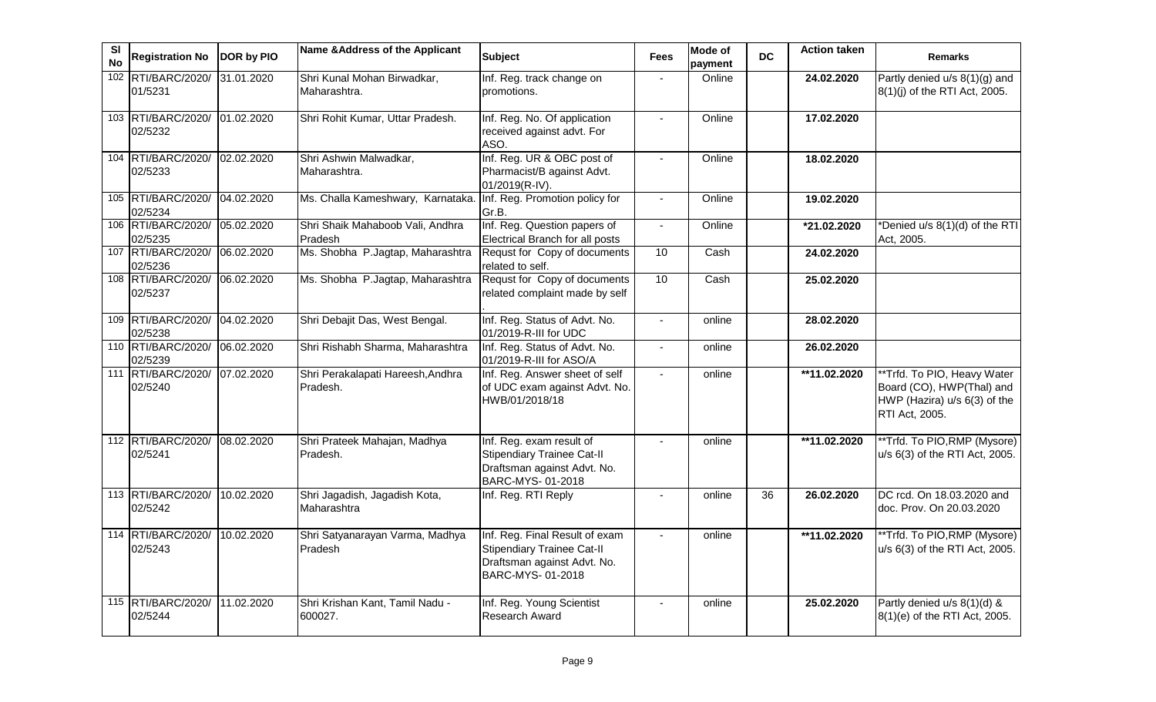| <b>SI</b><br><b>No</b> | Registration No DOR by PIO               |            | Name & Address of the Applicant               | <b>Subject</b>                                                                                                         | <b>Fees</b>    | <b>Mode of</b><br>payment | <b>DC</b> | <b>Action taken</b> | <b>Remarks</b>                                                                                             |
|------------------------|------------------------------------------|------------|-----------------------------------------------|------------------------------------------------------------------------------------------------------------------------|----------------|---------------------------|-----------|---------------------|------------------------------------------------------------------------------------------------------------|
|                        | 102 RTI/BARC/2020/<br>01/5231            | 31.01.2020 | Shri Kunal Mohan Birwadkar,<br>Maharashtra.   | Inf. Reg. track change on<br>promotions.                                                                               |                | Online                    |           | 24.02.2020          | Partly denied $u/s$ 8(1)(g) and<br>8(1)(j) of the RTI Act, 2005.                                           |
|                        | 103 RTI/BARC/2020/ 01.02.2020<br>02/5232 |            | Shri Rohit Kumar, Uttar Pradesh.              | Inf. Reg. No. Of application<br>received against advt. For<br>ASO.                                                     | $\blacksquare$ | Online                    |           | 17.02.2020          |                                                                                                            |
|                        | 104 RTI/BARC/2020/ 02.02.2020<br>02/5233 |            | Shri Ashwin Malwadkar,<br>Maharashtra.        | Inf. Reg. UR & OBC post of<br>Pharmacist/B against Advt.<br>01/2019(R-IV).                                             | $\blacksquare$ | Online                    |           | 18.02.2020          |                                                                                                            |
|                        | 105 RTI/BARC/2020/<br>02/5234            | 04.02.2020 | Ms. Challa Kameshwary, Karnataka.             | Inf. Reg. Promotion policy for<br>Gr.B.                                                                                | $\blacksquare$ | Online                    |           | 19.02.2020          |                                                                                                            |
|                        | 106 RTI/BARC/2020/<br>02/5235            | 05.02.2020 | Shri Shaik Mahaboob Vali, Andhra<br>Pradesh   | Inf. Reg. Question papers of<br>Electrical Branch for all posts                                                        |                | Online                    |           | *21.02.2020         | *Denied u/s 8(1)(d) of the RTI<br>Act, 2005.                                                               |
|                        | 107 RTI/BARC/2020/<br>02/5236            | 06.02.2020 | Ms. Shobha P.Jagtap, Maharashtra              | Requst for Copy of documents<br>related to self.                                                                       | 10             | Cash                      |           | 24.02.2020          |                                                                                                            |
|                        | 108 RTI/BARC/2020/<br>02/5237            | 06.02.2020 | Ms. Shobha P.Jagtap, Maharashtra              | Requst for Copy of documents<br>related complaint made by self                                                         | 10             | Cash                      |           | 25.02.2020          |                                                                                                            |
|                        | 109 RTI/BARC/2020/<br>02/5238            | 04.02.2020 | Shri Debajit Das, West Bengal.                | Inf. Reg. Status of Advt. No.<br>01/2019-R-III for UDC                                                                 | $\blacksquare$ | online                    |           | 28.02.2020          |                                                                                                            |
|                        | 110 RTI/BARC/2020/<br>02/5239            | 06.02.2020 | Shri Rishabh Sharma, Maharashtra              | Inf. Reg. Status of Advt. No.<br>01/2019-R-III for ASO/A                                                               | $\blacksquare$ | online                    |           | 26.02.2020          |                                                                                                            |
|                        | 111 RTI/BARC/2020/<br>02/5240            | 07.02.2020 | Shri Perakalapati Hareesh, Andhra<br>Pradesh. | Inf. Reg. Answer sheet of self<br>of UDC exam against Advt. No.<br>HWB/01/2018/18                                      |                | online                    |           | **11.02.2020        | **Trfd. To PIO, Heavy Water<br>Board (CO), HWP(Thal) and<br>HWP (Hazira) u/s 6(3) of the<br>RTI Act, 2005. |
|                        | 112 RTI/BARC/2020/<br>02/5241            | 08.02.2020 | Shri Prateek Mahajan, Madhya<br>Pradesh.      | Inf. Reg. exam result of<br><b>Stipendiary Trainee Cat-II</b><br>Draftsman against Advt. No.<br>BARC-MYS-01-2018       |                | online                    |           | **11.02.2020        | **Trfd. To PIO, RMP (Mysore)<br>u/s 6(3) of the RTI Act, 2005.                                             |
|                        | 113 RTI/BARC/2020/<br>02/5242            | 10.02.2020 | Shri Jagadish, Jagadish Kota,<br>Maharashtra  | Inf. Reg. RTI Reply                                                                                                    | $\blacksquare$ | online                    | 36        | 26.02.2020          | DC rcd. On 18.03.2020 and<br>doc. Prov. On 20.03.2020                                                      |
|                        | 114 RTI/BARC/2020/<br>02/5243            | 10.02.2020 | Shri Satyanarayan Varma, Madhya<br>Pradesh    | Inf. Reg. Final Result of exam<br><b>Stipendiary Trainee Cat-II</b><br>Draftsman against Advt. No.<br>BARC-MYS-01-2018 | $\blacksquare$ | online                    |           | **11.02.2020        | **Trfd. To PIO, RMP (Mysore)<br>u/s 6(3) of the RTI Act, 2005.                                             |
|                        | 115 RTI/BARC/2020/<br>02/5244            | 11.02.2020 | Shri Krishan Kant, Tamil Nadu -<br>600027.    | Inf. Reg. Young Scientist<br><b>Research Award</b>                                                                     | $\blacksquare$ | online                    |           | 25.02.2020          | Partly denied u/s 8(1)(d) &<br>8(1)(e) of the RTI Act, 2005.                                               |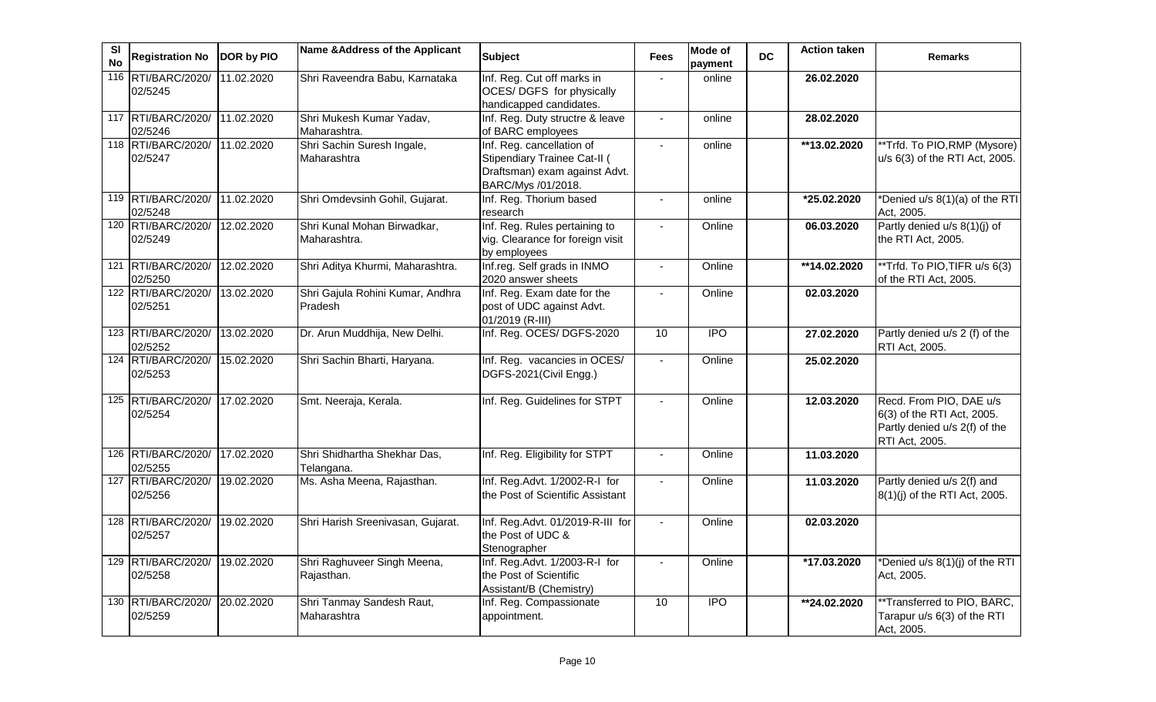| SI<br><b>No</b> | <b>Registration No</b>        | <b>DOR by PIO</b> | Name & Address of the Applicant             | <b>Subject</b>                                                                                                   | <b>Fees</b>    | <b>Mode of</b><br>payment | <b>DC</b> | <b>Action taken</b> | <b>Remarks</b>                                                                                           |
|-----------------|-------------------------------|-------------------|---------------------------------------------|------------------------------------------------------------------------------------------------------------------|----------------|---------------------------|-----------|---------------------|----------------------------------------------------------------------------------------------------------|
| 116             | RTI/BARC/2020/<br>02/5245     | 11.02.2020        | Shri Raveendra Babu, Karnataka              | Inf. Reg. Cut off marks in<br>OCES/ DGFS for physically<br>handicapped candidates.                               | $\mathbf{r}$   | online                    |           | 26.02.2020          |                                                                                                          |
|                 | 117 RTI/BARC/2020/<br>02/5246 | 11.02.2020        | Shri Mukesh Kumar Yadav,<br>Maharashtra.    | Inf. Reg. Duty structre & leave<br>of BARC employees                                                             | $\overline{a}$ | online                    |           | 28.02.2020          |                                                                                                          |
|                 | 118 RTI/BARC/2020/<br>02/5247 | 11.02.2020        | Shri Sachin Suresh Ingale,<br>Maharashtra   | Inf. Reg. cancellation of<br>Stipendiary Trainee Cat-II (<br>Draftsman) exam against Advt.<br>BARC/Mys /01/2018. | $\blacksquare$ | online                    |           | **13.02.2020        | **Trfd. To PIO, RMP (Mysore)<br>u/s 6(3) of the RTI Act, 2005.                                           |
|                 | 119 RTI/BARC/2020/<br>02/5248 | 11.02.2020        | Shri Omdevsinh Gohil, Gujarat.              | Inf. Reg. Thorium based<br>research                                                                              |                | online                    |           | $*25.02.2020$       | *Denied u/s 8(1)(a) of the RTI<br>Act, 2005.                                                             |
|                 | 120 RTI/BARC/2020/<br>02/5249 | 12.02.2020        | Shri Kunal Mohan Birwadkar,<br>Maharashtra. | Inf. Reg. Rules pertaining to<br>vig. Clearance for foreign visit<br>by employees                                |                | Online                    |           | 06.03.2020          | Partly denied u/s 8(1)(j) of<br>the RTI Act, 2005.                                                       |
|                 | 121 RTI/BARC/2020/<br>02/5250 | 12.02.2020        | Shri Aditya Khurmi, Maharashtra.            | Inf.reg. Self grads in INMO<br>2020 answer sheets                                                                | $\blacksquare$ | Online                    |           | **14.02.2020        | **Trfd. To PIO, TIFR u/s 6(3)<br>of the RTI Act, 2005.                                                   |
|                 | 122 RTI/BARC/2020/<br>02/5251 | 13.02.2020        | Shri Gajula Rohini Kumar, Andhra<br>Pradesh | Inf. Reg. Exam date for the<br>post of UDC against Advt.<br>01/2019 (R-III)                                      | $\overline{a}$ | Online                    |           | 02.03.2020          |                                                                                                          |
|                 | 123 RTI/BARC/2020/<br>02/5252 | 13.02.2020        | Dr. Arun Muddhija, New Delhi.               | Inf. Reg. OCES/ DGFS-2020                                                                                        | 10             | $\overline{1}$            |           | 27.02.2020          | Partly denied u/s 2 (f) of the<br>RTI Act, 2005.                                                         |
|                 | 124 RTI/BARC/2020/<br>02/5253 | 15.02.2020        | Shri Sachin Bharti, Haryana.                | Inf. Reg. vacancies in OCES/<br>DGFS-2021(Civil Engg.)                                                           |                | Online                    |           | 25.02.2020          |                                                                                                          |
|                 | 125 RTI/BARC/2020/<br>02/5254 | 17.02.2020        | Smt. Neeraja, Kerala.                       | Inf. Reg. Guidelines for STPT                                                                                    |                | Online                    |           | 12.03.2020          | Recd. From PIO, DAE u/s<br>6(3) of the RTI Act, 2005.<br>Partly denied u/s 2(f) of the<br>RTI Act, 2005. |
|                 | 126 RTI/BARC/2020/<br>02/5255 | 17.02.2020        | Shri Shidhartha Shekhar Das,<br>Telangana.  | Inf. Reg. Eligibility for STPT                                                                                   |                | Online                    |           | 11.03.2020          |                                                                                                          |
|                 | 127 RTI/BARC/2020/<br>02/5256 | 19.02.2020        | Ms. Asha Meena, Rajasthan.                  | Inf. Reg.Advt. 1/2002-R-I for<br>the Post of Scientific Assistant                                                | $\blacksquare$ | Online                    |           | 11.03.2020          | Partly denied u/s 2(f) and<br>8(1)(j) of the RTI Act, 2005.                                              |
|                 | 128 RTI/BARC/2020/<br>02/5257 | 19.02.2020        | Shri Harish Sreenivasan, Gujarat.           | Inf. Reg.Advt. 01/2019-R-III for<br>the Post of UDC &<br>Stenographer                                            |                | Online                    |           | 02.03.2020          |                                                                                                          |
|                 | 129 RTI/BARC/2020/<br>02/5258 | 19.02.2020        | Shri Raghuveer Singh Meena,<br>Rajasthan.   | Inf. Reg.Advt. 1/2003-R-I for<br>the Post of Scientific<br>Assistant/B (Chemistry)                               |                | Online                    |           | *17.03.2020         | *Denied u/s 8(1)(j) of the RTI<br>Act, 2005.                                                             |
|                 | 130 RTI/BARC/2020/<br>02/5259 | 20.02.2020        | Shri Tanmay Sandesh Raut,<br>Maharashtra    | Inf. Reg. Compassionate<br>appointment.                                                                          | 10             | $\overline{1}$            |           | **24.02.2020        | **Transferred to PIO, BARC,<br>Tarapur u/s 6(3) of the RTI<br>Act, 2005.                                 |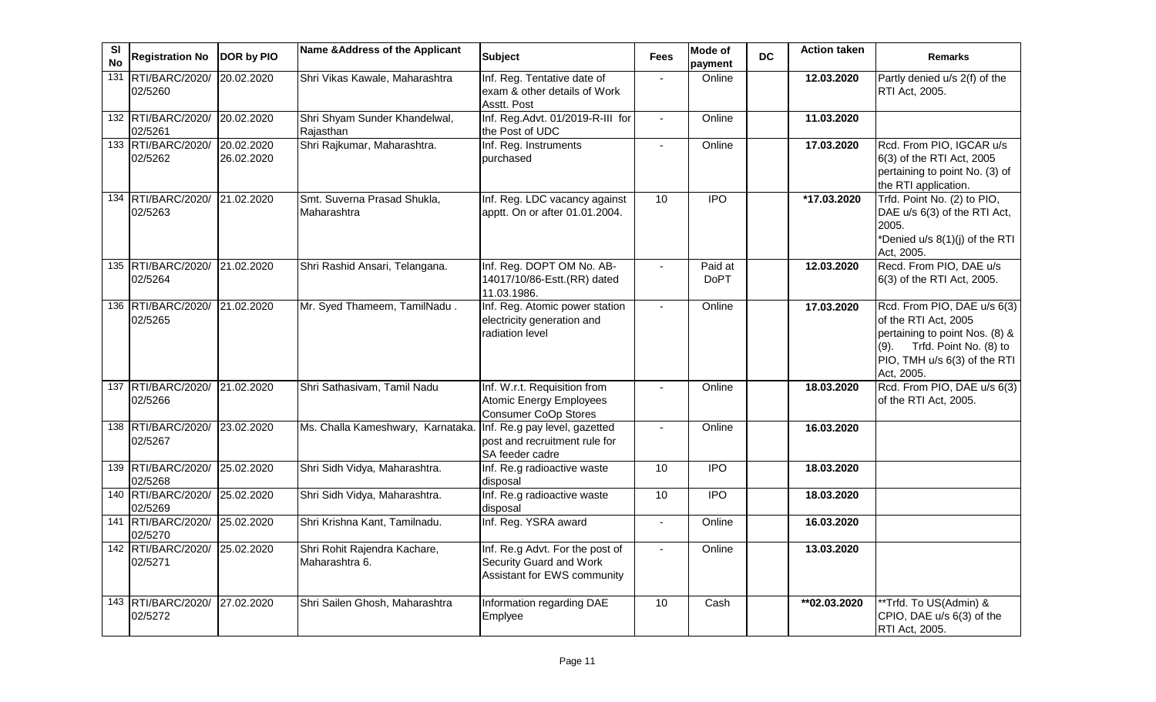| SI<br><b>No</b> | <b>Registration No</b>        | DOR by PIO               | Name & Address of the Applicant                | <b>Subject</b>                                                                            | <b>Fees</b>              | Mode of<br>payment     | <b>DC</b> | <b>Action taken</b>      | <b>Remarks</b>                                                                                                                                                        |
|-----------------|-------------------------------|--------------------------|------------------------------------------------|-------------------------------------------------------------------------------------------|--------------------------|------------------------|-----------|--------------------------|-----------------------------------------------------------------------------------------------------------------------------------------------------------------------|
| 131             | RTI/BARC/2020/<br>02/5260     | 20.02.2020               | Shri Vikas Kawale, Maharashtra                 | Inf. Reg. Tentative date of<br>exam & other details of Work<br>Asstt. Post                | $\mathbf{r}$             | Online                 |           | 12.03.2020               | Partly denied u/s 2(f) of the<br>RTI Act, 2005.                                                                                                                       |
|                 | 132 RTI/BARC/2020/<br>02/5261 | 20.02.2020               | Shri Shyam Sunder Khandelwal,<br>Rajasthan     | Inf. Reg.Advt. 01/2019-R-III for<br>the Post of UDC                                       | $\mathbf{r}$             | Online                 |           | 11.03.2020               |                                                                                                                                                                       |
|                 | 133 RTI/BARC/2020/<br>02/5262 | 20.02.2020<br>26.02.2020 | Shri Rajkumar, Maharashtra.                    | Inf. Reg. Instruments<br>purchased                                                        | $\blacksquare$           | Online                 |           | 17.03.2020               | Rcd. From PIO, IGCAR u/s<br>6(3) of the RTI Act, 2005<br>pertaining to point No. (3) of<br>the RTI application.                                                       |
|                 | 134 RTI/BARC/2020/<br>02/5263 | 21.02.2020               | Smt. Suverna Prasad Shukla,<br>Maharashtra     | Inf. Reg. LDC vacancy against<br>apptt. On or after 01.01.2004.                           | 10                       | <b>IPO</b>             |           | *17.03.2020              | Trfd. Point No. (2) to PIO,<br>DAE u/s 6(3) of the RTI Act,<br>2005.<br>*Denied u/s 8(1)(j) of the RTI<br>Act, 2005.                                                  |
|                 | 135 RTI/BARC/2020/<br>02/5264 | 21.02.2020               | Shri Rashid Ansari, Telangana.                 | Inf. Reg. DOPT OM No. AB-<br>14017/10/86-Estt.(RR) dated<br>11.03.1986.                   |                          | Paid at<br><b>DoPT</b> |           | 12.03.2020               | Recd. From PIO, DAE u/s<br>6(3) of the RTI Act, 2005.                                                                                                                 |
|                 | 136 RTI/BARC/2020/<br>02/5265 | 21.02.2020               | Mr. Syed Thameem, TamilNadu.                   | Inf. Reg. Atomic power station<br>electricity generation and<br>radiation level           | $\overline{\phantom{a}}$ | Online                 |           | 17.03.2020               | Rcd. From PIO, DAE u/s 6(3)<br>of the RTI Act, 2005<br>pertaining to point Nos. (8) &<br>Trfd. Point No. (8) to<br>(9).<br>PIO, TMH u/s 6(3) of the RTI<br>Act, 2005. |
|                 | 137 RTI/BARC/2020/<br>02/5266 | 21.02.2020               | Shri Sathasivam, Tamil Nadu                    | Inf. W.r.t. Requisition from<br>Atomic Energy Employees<br><b>Consumer CoOp Stores</b>    |                          | Online                 |           | 18.03.2020               | Rcd. From PIO, DAE u/s 6(3)<br>of the RTI Act, 2005.                                                                                                                  |
|                 | 138 RTI/BARC/2020/<br>02/5267 | 23.02.2020               | Ms. Challa Kameshwary, Karnataka               | Inf. Re.g pay level, gazetted<br>post and recruitment rule for<br>SA feeder cadre         |                          | Online                 |           | 16.03.2020               |                                                                                                                                                                       |
|                 | 139 RTI/BARC/2020/<br>02/5268 | 25.02.2020               | Shri Sidh Vidya, Maharashtra.                  | Inf. Re.g radioactive waste<br>disposal                                                   | 10                       | <b>IPO</b>             |           | 18.03.2020               |                                                                                                                                                                       |
|                 | 140 RTI/BARC/2020/<br>02/5269 | 25.02.2020               | Shri Sidh Vidya, Maharashtra.                  | Inf. Re.g radioactive waste<br>disposal                                                   | 10                       | <b>IPO</b>             |           | 18.03.2020               |                                                                                                                                                                       |
|                 | 141 RTI/BARC/2020/<br>02/5270 | 25.02.2020               | Shri Krishna Kant, Tamilnadu.                  | Inf. Reg. YSRA award                                                                      | $\overline{\phantom{a}}$ | Online                 |           | 16.03.2020               |                                                                                                                                                                       |
|                 | 142 RTI/BARC/2020/<br>02/5271 | 25.02.2020               | Shri Rohit Rajendra Kachare,<br>Maharashtra 6. | Inf. Re.g Advt. For the post of<br>Security Guard and Work<br>Assistant for EWS community |                          | Online                 |           | 13.03.2020               |                                                                                                                                                                       |
|                 | 143 RTI/BARC/2020/<br>02/5272 | 27.02.2020               | Shri Sailen Ghosh, Maharashtra                 | Information regarding DAE<br>Emplyee                                                      | 10                       | Cash                   |           | $\overline{102.03.2020}$ | **Trfd. To US(Admin) &<br>CPIO, DAE u/s 6(3) of the<br>RTI Act, 2005.                                                                                                 |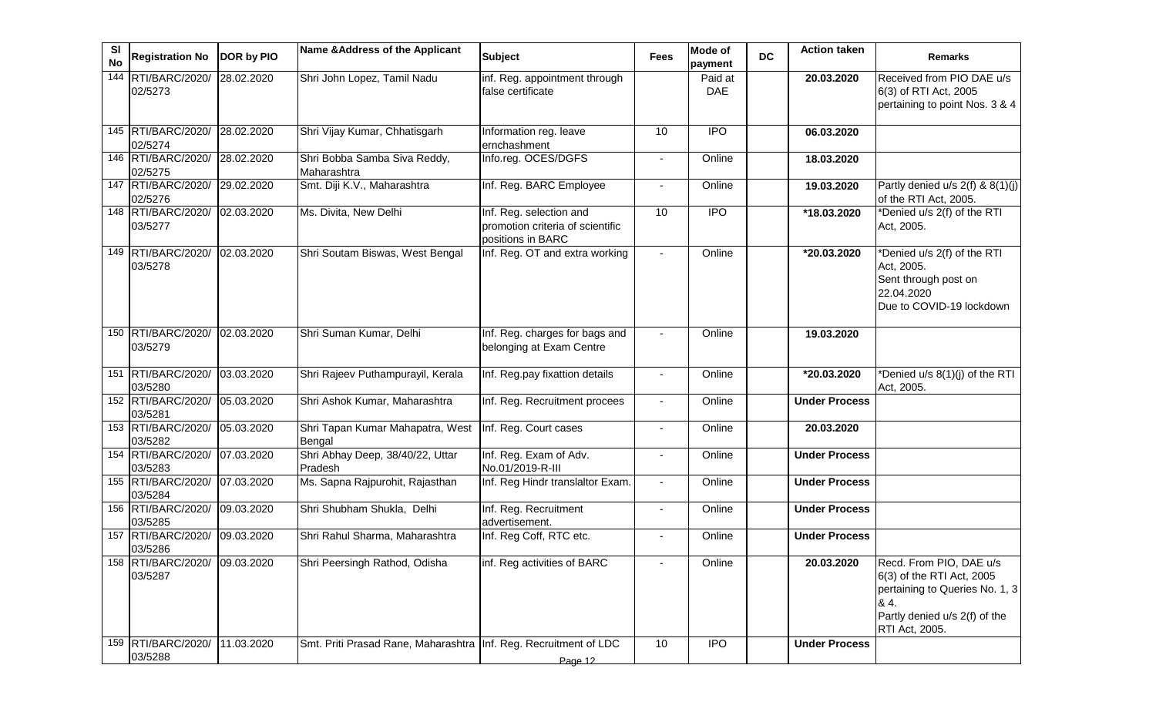| <b>SI</b><br><b>No</b> | <b>Registration No</b>        | DOR by PIO              | Name & Address of the Applicant                                  | <b>Subject</b>                                                                   | <b>Fees</b>    | <b>Mode of</b><br>payment | <b>DC</b> | <b>Action taken</b>     | <b>Remarks</b>                                                                                                                                   |
|------------------------|-------------------------------|-------------------------|------------------------------------------------------------------|----------------------------------------------------------------------------------|----------------|---------------------------|-----------|-------------------------|--------------------------------------------------------------------------------------------------------------------------------------------------|
| 144                    | RTI/BARC/2020/<br>02/5273     | 28.02.2020              | Shri John Lopez, Tamil Nadu                                      | inf. Reg. appointment through<br>false certificate                               |                | Paid at<br><b>DAE</b>     |           | 20.03.2020              | Received from PIO DAE u/s<br>6(3) of RTI Act, 2005<br>pertaining to point Nos. 3 & 4                                                             |
|                        | 145 RTI/BARC/2020/<br>02/5274 | 28.02.2020              | Shri Vijay Kumar, Chhatisgarh                                    | Information reg. leave<br>ernchashment                                           | 10             | <b>IPO</b>                |           | 06.03.2020              |                                                                                                                                                  |
|                        | 146 RTI/BARC/2020/<br>02/5275 | $\overline{28.02.2020}$ | Shri Bobba Samba Siva Reddy,<br>Maharashtra                      | Info.reg. OCES/DGFS                                                              | $\blacksquare$ | Online                    |           | 18.03.2020              |                                                                                                                                                  |
|                        | 147 RTI/BARC/2020/<br>02/5276 | 29.02.2020              | Smt. Diji K.V., Maharashtra                                      | Inf. Reg. BARC Employee                                                          |                | Online                    |           | 19.03.2020              | Partly denied $u/s$ 2(f) & 8(1)(j)<br>of the RTI Act, 2005.                                                                                      |
|                        | 148 RTI/BARC/2020/<br>03/5277 | 02.03.2020              | Ms. Divita, New Delhi                                            | Inf. Reg. selection and<br>promotion criteria of scientific<br>positions in BARC | 10             | $\overline{IPO}$          |           | $\overline{18.03.2020}$ | *Denied u/s 2(f) of the RTI<br>Act, 2005.                                                                                                        |
|                        | 149 RTI/BARC/2020/<br>03/5278 | 02.03.2020              | Shri Soutam Biswas, West Bengal                                  | Inf. Reg. OT and extra working                                                   | $\mathbf{r}$   | Online                    |           | *20.03.2020             | *Denied u/s 2(f) of the RTI<br>Act, 2005.<br>Sent through post on<br>22.04.2020<br>Due to COVID-19 lockdown                                      |
|                        | 150 RTI/BARC/2020/<br>03/5279 | 02.03.2020              | Shri Suman Kumar, Delhi                                          | Inf. Reg. charges for bags and<br>belonging at Exam Centre                       |                | Online                    |           | 19.03.2020              |                                                                                                                                                  |
|                        | 151 RTI/BARC/2020/<br>03/5280 | 03.03.2020              | Shri Rajeev Puthampurayil, Kerala                                | Inf. Reg.pay fixattion details                                                   |                | Online                    |           | *20.03.2020             | *Denied u/s 8(1)(j) of the RTI<br>Act, 2005.                                                                                                     |
|                        | 152 RTI/BARC/2020/<br>03/5281 | 05.03.2020              | Shri Ashok Kumar, Maharashtra                                    | Inf. Reg. Recruitment procees                                                    |                | Online                    |           | <b>Under Process</b>    |                                                                                                                                                  |
|                        | 153 RTI/BARC/2020/<br>03/5282 | 05.03.2020              | Shri Tapan Kumar Mahapatra, West<br>Bengal                       | Inf. Reg. Court cases                                                            | $\blacksquare$ | Online                    |           | 20.03.2020              |                                                                                                                                                  |
|                        | 154 RTI/BARC/2020/<br>03/5283 | 07.03.2020              | Shri Abhay Deep, 38/40/22, Uttar<br>Pradesh                      | Inf. Reg. Exam of Adv.<br>No.01/2019-R-III                                       |                | Online                    |           | <b>Under Process</b>    |                                                                                                                                                  |
|                        | 155 RTI/BARC/2020/<br>03/5284 | 07.03.2020              | Ms. Sapna Rajpurohit, Rajasthan                                  | Inf. Reg Hindr translaltor Exam.                                                 |                | Online                    |           | <b>Under Process</b>    |                                                                                                                                                  |
|                        | 156 RTI/BARC/2020/<br>03/5285 | 09.03.2020              | Shri Shubham Shukla, Delhi                                       | Inf. Reg. Recruitment<br>advertisement.                                          |                | Online                    |           | <b>Under Process</b>    |                                                                                                                                                  |
|                        | 157 RTI/BARC/2020/<br>03/5286 | 09.03.2020              | Shri Rahul Sharma, Maharashtra                                   | Inf. Reg Coff, RTC etc.                                                          |                | Online                    |           | <b>Under Process</b>    |                                                                                                                                                  |
|                        | 158 RTI/BARC/2020/<br>03/5287 | 09.03.2020              | Shri Peersingh Rathod, Odisha                                    | inf. Reg activities of BARC                                                      |                | Online                    |           | 20.03.2020              | Recd. From PIO, DAE u/s<br>6(3) of the RTI Act, 2005<br>pertaining to Queries No. 1, 3<br>84.<br>Partly denied u/s 2(f) of the<br>RTI Act, 2005. |
|                        | 159 RTI/BARC/2020/<br>03/5288 | 11.03.2020              | Smt. Priti Prasad Rane, Maharashtra Inf. Reg. Recruitment of LDC | Page 12                                                                          | 10             | $\overline{1}$            |           | <b>Under Process</b>    |                                                                                                                                                  |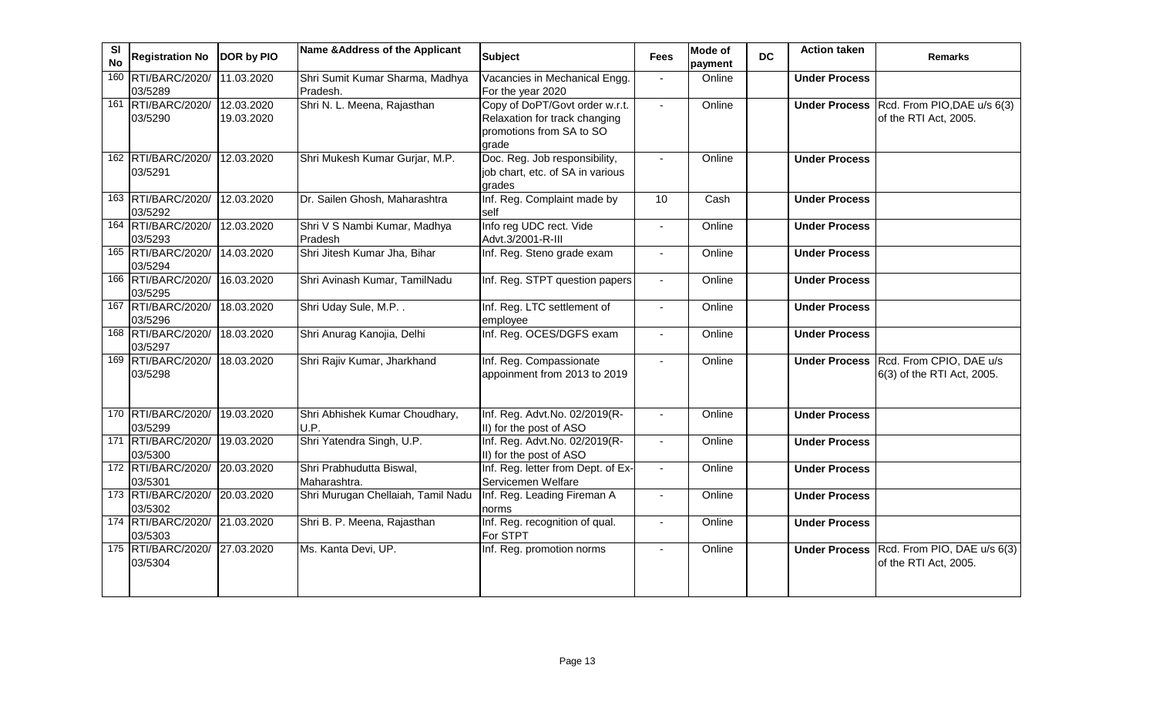| SI<br><b>No</b> | <b>Registration No</b>                   | DOR by PIO               | Name & Address of the Applicant             | <b>Subject</b>                                                                                       | <b>Fees</b>    | <b>Mode of</b><br>payment | <b>DC</b> | <b>Action taken</b>  | <b>Remarks</b>                                                      |
|-----------------|------------------------------------------|--------------------------|---------------------------------------------|------------------------------------------------------------------------------------------------------|----------------|---------------------------|-----------|----------------------|---------------------------------------------------------------------|
|                 | 160 RTI/BARC/2020/<br>03/5289            | 11.03.2020               | Shri Sumit Kumar Sharma, Madhya<br>Pradesh. | Vacancies in Mechanical Engg.<br>For the year 2020                                                   |                | Online                    |           | <b>Under Process</b> |                                                                     |
|                 | 161 RTI/BARC/2020/<br>03/5290            | 12.03.2020<br>19.03.2020 | Shri N. L. Meena, Rajasthan                 | Copy of DoPT/Govt order w.r.t.<br>Relaxation for track changing<br>promotions from SA to SO<br>arade | $\blacksquare$ | Online                    |           |                      | Under Process Rcd. From PIO, DAE u/s 6(3)<br>of the RTI Act, 2005.  |
|                 | 162 RTI/BARC/2020/<br>03/5291            | 12.03.2020               | Shri Mukesh Kumar Gurjar, M.P.              | Doc. Reg. Job responsibility,<br>job chart, etc. of SA in various<br>grades                          |                | Online                    |           | <b>Under Process</b> |                                                                     |
|                 | 163 RTI/BARC/2020/<br>03/5292            | 12.03.2020               | Dr. Sailen Ghosh, Maharashtra               | Inf. Reg. Complaint made by<br>self                                                                  | 10             | Cash                      |           | <b>Under Process</b> |                                                                     |
|                 | 164 RTI/BARC/2020/<br>03/5293            | 12.03.2020               | Shri V S Nambi Kumar, Madhya<br>Pradesh     | Info reg UDC rect. Vide<br>Advt.3/2001-R-III                                                         |                | Online                    |           | <b>Under Process</b> |                                                                     |
|                 | 165 RTI/BARC/2020/<br>03/5294            | 14.03.2020               | Shri Jitesh Kumar Jha, Bihar                | Inf. Reg. Steno grade exam                                                                           | $\blacksquare$ | Online                    |           | <b>Under Process</b> |                                                                     |
|                 | 166 RTI/BARC/2020/<br>03/5295            | 16.03.2020               | Shri Avinash Kumar, TamilNadu               | Inf. Reg. STPT question papers                                                                       | $\blacksquare$ | Online                    |           | <b>Under Process</b> |                                                                     |
|                 | 167 RTI/BARC/2020/<br>03/5296            | 18.03.2020               | Shri Uday Sule, M.P. .                      | Inf. Reg. LTC settlement of<br>employee                                                              | $\overline{a}$ | Online                    |           | <b>Under Process</b> |                                                                     |
|                 | 168 RTI/BARC/2020/<br>03/5297            | 18.03.2020               | Shri Anurag Kanojia, Delhi                  | Inf. Reg. OCES/DGFS exam                                                                             |                | Online                    |           | <b>Under Process</b> |                                                                     |
|                 | 169 RTI/BARC/2020/<br>03/5298            | 18.03.2020               | Shri Rajiv Kumar, Jharkhand                 | Inf. Reg. Compassionate<br>appoinment from 2013 to 2019                                              | $\sim$         | Online                    |           |                      | Under Process Rcd. From CPIO, DAE u/s<br>6(3) of the RTI Act, 2005. |
|                 | 170 RTI/BARC/2020/<br>03/5299            | 19.03.2020               | Shri Abhishek Kumar Choudhary,<br>U.P.      | Inf. Reg. Advt.No. 02/2019(R-<br>II) for the post of ASO                                             | $\blacksquare$ | Online                    |           | <b>Under Process</b> |                                                                     |
|                 | 171 RTI/BARC/2020/<br>03/5300            | 19.03.2020               | Shri Yatendra Singh, U.P.                   | Inf. Reg. Advt.No. 02/2019(R-<br>II) for the post of ASO                                             |                | Online                    |           | <b>Under Process</b> |                                                                     |
|                 | 172 RTI/BARC/2020/<br>03/5301            | 20.03.2020               | Shri Prabhudutta Biswal,<br>Maharashtra.    | Inf. Reg. letter from Dept. of Ex-<br>Servicemen Welfare                                             |                | Online                    |           | <b>Under Process</b> |                                                                     |
|                 | 173 RTI/BARC/2020/<br>03/5302            | 20.03.2020               | Shri Murugan Chellaiah, Tamil Nadu          | Inf. Reg. Leading Fireman A<br>norms                                                                 | $\blacksquare$ | Online                    |           | <b>Under Process</b> |                                                                     |
|                 | 174 RTI/BARC/2020/ 21.03.2020<br>03/5303 |                          | Shri B. P. Meena, Rajasthan                 | Inf. Reg. recognition of qual.<br>For STPT                                                           | $\blacksquare$ | Online                    |           | <b>Under Process</b> |                                                                     |
|                 | 175 RTI/BARC/2020/<br>03/5304            | 27.03.2020               | Ms. Kanta Devi, UP.                         | Inf. Reg. promotion norms                                                                            | $\blacksquare$ | Online                    |           |                      | Under Process Rcd. From PIO, DAE u/s 6(3)<br>of the RTI Act, 2005.  |